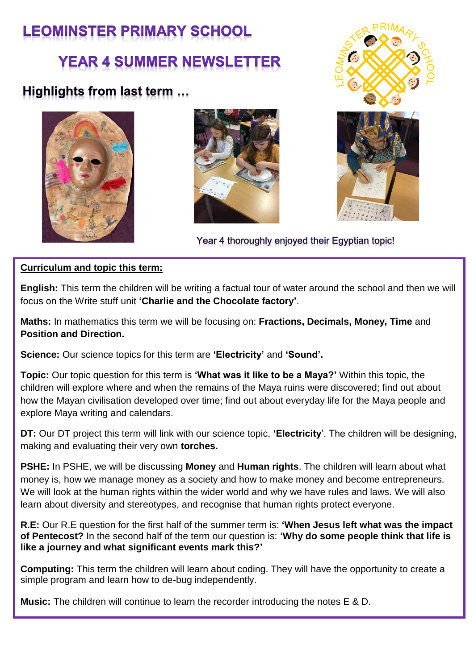# **LEOMINSTER PRIMARY SCHOOL**

# **YEAR 4 SUMMER NEWSLETTER**

# Highlights from last term ...





Year 4 thoroughly enjoyed their Egyptian topic!

# **Curriculum and topic this term:**

**English:** This term the children will be writing a factual tour of water around the school and then we will focus on the Write stuff unit **'Charlie and the Chocolate factory'**.

**Maths:** In mathematics this term we will be focusing on: **Fractions, Decimals, Money, Time** and **Position and Direction.** 

**Science:** Our science topics for this term are **'Electricity'** and **'Sound'.** 

**Topic:** Our topic question for this term is **'What was it like to be a Maya?'** Within this topic, the children will explore where and when the remains of the Maya ruins were discovered; find out about how the Mayan civilisation developed over time; find out about everyday life for the Maya people and explore Maya writing and calendars.

**DT:** Our DT project this term will link with our science topic, **'Electricity**'. The children will be designing, making and evaluating their very own **torches.**

**PSHE:** In PSHE, we will be discussing **Money** and **Human rights**. The children will learn about what money is, how we manage money as a society and how to make money and become entrepreneurs. We will look at the human rights within the wider world and why we have rules and laws. We will also learn about diversity and stereotypes, and recognise that human rights protect everyone.

**R.E:** Our R.E question for the first half of the summer term is: **'When Jesus left what was the impact of Pentecost?** In the second half of the term our question is: **'Why do some people think that life is like a journey and what significant events mark this?'**

**Computing:** This term the children will learn about coding. They will have the opportunity to create a simple program and learn how to de-bug independently.

**Music:** The children will continue to learn the recorder introducing the notes E & D.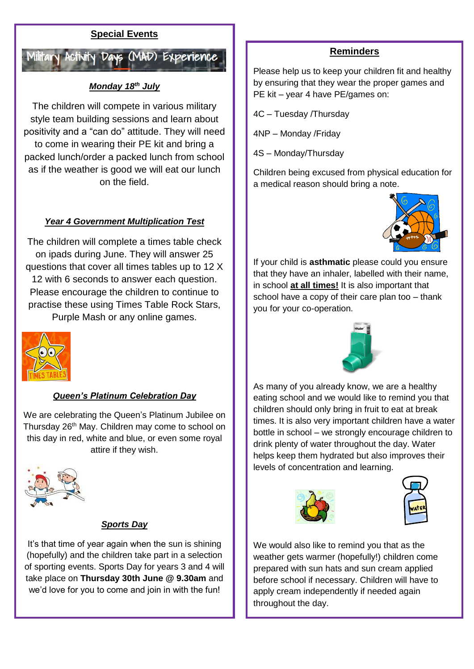## **Special Events**



## *Monday 18th July*

The children will compete in various military style team building sessions and learn about positivity and a "can do" attitude. They will need to come in wearing their PE kit and bring a packed lunch/order a packed lunch from school as if the weather is good we will eat our lunch on the field.

#### *Year 4 Government Multiplication Test*

The children will complete a times table check on ipads during June. They will answer 25 questions that cover all times tables up to 12 X 12 with 6 seconds to answer each question. Please encourage the children to continue to practise these using Times Table Rock Stars, Purple Mash or any online games.



### *Queen's Platinum Celebration Day*

We are celebrating the Queen's Platinum Jubilee on Thursday 26<sup>th</sup> May. Children may come to school on this day in red, white and blue, or even some royal attire if they wish.



#### *Sports Day*

It's that time of year again when the sun is shining (hopefully) and the children take part in a selection of sporting events. Sports Day for years 3 and 4 will take place on **Thursday 30th June @ 9.30am** and we'd love for you to come and join in with the fun!

#### **Reminders**

Please help us to keep your children fit and healthy by ensuring that they wear the proper games and PE kit – year 4 have PE/games on:

4C – Tuesday /Thursday

4NP – Monday /Friday

4S – Monday/Thursday

Children being excused from physical education for a medical reason should bring a note.



If your child is **asthmatic** please could you ensure that they have an inhaler, labelled with their name, in school **at all times!** It is also important that school have a copy of their care plan too – thank you for your co-operation.



As many of you already know, we are a healthy eating school and we would like to remind you that children should only bring in fruit to eat at break times. It is also very important children have a water bottle in school – we strongly encourage children to drink plenty of water throughout the day. Water helps keep them hydrated but also improves their levels of concentration and learning.





We would also like to remind you that as the weather gets warmer (hopefully!) children come prepared with sun hats and sun cream applied before school if necessary. Children will have to apply cream independently if needed again throughout the day.